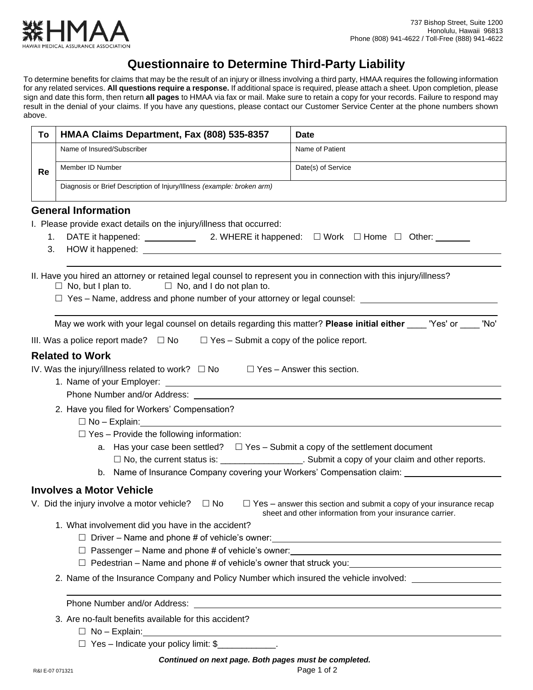

# **Questionnaire to Determine Third-Party Liability**

To determine benefits for claims that may be the result of an injury or illness involving a third party, HMAA requires the following information for any related services. **All questions require a response.** If additional space is required, please attach a sheet. Upon completion, please sign and date this form, then return **all pages** to HMAA via fax or mail. Make sure to retain a copy for your records. Failure to respond may result in the denial of your claims. If you have any questions, please contact our Customer Service Center at the phone numbers shown above.

| To | HMAA Claims Department, Fax (808) 535-8357                                                                                                                                         | <b>Date</b>                                                                                                                            |  |
|----|------------------------------------------------------------------------------------------------------------------------------------------------------------------------------------|----------------------------------------------------------------------------------------------------------------------------------------|--|
|    | Name of Insured/Subscriber                                                                                                                                                         | Name of Patient                                                                                                                        |  |
| Re | Member ID Number                                                                                                                                                                   | Date(s) of Service                                                                                                                     |  |
|    | Diagnosis or Brief Description of Injury/Illness (example: broken arm)                                                                                                             |                                                                                                                                        |  |
|    | <b>General Information</b>                                                                                                                                                         |                                                                                                                                        |  |
|    | I. Please provide exact details on the injury/illness that occurred:                                                                                                               |                                                                                                                                        |  |
|    |                                                                                                                                                                                    |                                                                                                                                        |  |
|    |                                                                                                                                                                                    |                                                                                                                                        |  |
|    | II. Have you hired an attorney or retained legal counsel to represent you in connection with this injury/illness?<br>$\Box$ No, but I plan to.<br>$\Box$ No, and I do not plan to. |                                                                                                                                        |  |
|    | May we work with your legal counsel on details regarding this matter? Please initial either vers' or Wo'                                                                           |                                                                                                                                        |  |
|    | III. Was a police report made? $\square$ No $\square$ Yes – Submit a copy of the police report.                                                                                    |                                                                                                                                        |  |
|    | <b>Related to Work</b>                                                                                                                                                             |                                                                                                                                        |  |
|    | IV. Was the injury/illness related to work? $\Box$ No $\Box$ Yes - Answer this section.                                                                                            |                                                                                                                                        |  |
|    |                                                                                                                                                                                    |                                                                                                                                        |  |
|    |                                                                                                                                                                                    |                                                                                                                                        |  |
|    | 2. Have you filed for Workers' Compensation?                                                                                                                                       |                                                                                                                                        |  |
|    | $\square$ No – Explain: $\square$                                                                                                                                                  |                                                                                                                                        |  |
|    | $\Box$ Yes - Provide the following information:                                                                                                                                    |                                                                                                                                        |  |
|    | a. Has your case been settled? $\square$ Yes - Submit a copy of the settlement document                                                                                            |                                                                                                                                        |  |
|    |                                                                                                                                                                                    | □ No, the current status is: ____________________. Submit a copy of your claim and other reports.                                      |  |
|    |                                                                                                                                                                                    | b. Name of Insurance Company covering your Workers' Compensation claim: _______________                                                |  |
|    | <b>Involves a Motor Vehicle</b>                                                                                                                                                    |                                                                                                                                        |  |
|    | V. Did the injury involve a motor vehicle?<br>$\square$ No                                                                                                                         | $\Box$ Yes – answer this section and submit a copy of your insurance recap<br>sheet and other information from your insurance carrier. |  |
|    | 1. What involvement did you have in the accident?                                                                                                                                  |                                                                                                                                        |  |
|    |                                                                                                                                                                                    |                                                                                                                                        |  |
|    |                                                                                                                                                                                    |                                                                                                                                        |  |
|    |                                                                                                                                                                                    | □ Pedestrian – Name and phone # of vehicle's owner that struck you: <u>□ □ □ □ □ □ □ □ □ □ □ □ □ □ □ □</u>                             |  |
|    | 2. Name of the Insurance Company and Policy Number which insured the vehicle involved:                                                                                             |                                                                                                                                        |  |
|    | Phone Number and/or Address:                                                                                                                                                       | <u> 1989 - Johann Harry Harry Harry Harry Harry Harry Harry Harry Harry Harry Harry Harry Harry Harry Harry Harry</u>                  |  |
|    | 3. Are no-fault benefits available for this accident?<br>$\Box$ No – Explain:                                                                                                      |                                                                                                                                        |  |
|    |                                                                                                                                                                                    |                                                                                                                                        |  |